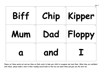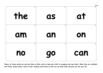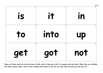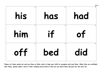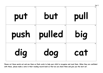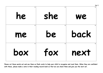| 6<br>he  | 6<br>she | Set 1<br>We |
|----------|----------|-------------|
| 6<br>me  | 6<br>be  | back        |
| 6<br>box | 6<br>fox | next        |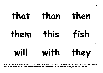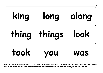| king  | long   | Set 1<br>along |
|-------|--------|----------------|
| thing | things | look           |
| took  | VOU    | WAS            |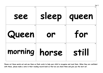| see        | sleep   | Set 1<br>queen |
|------------|---------|----------------|
| ۹<br>Queen | 9<br>or | for            |
| morning    | horse   | still          |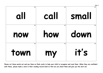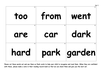| 11<br>100 | 11<br>from | Set 1<br>11<br>went |
|-----------|------------|---------------------|
| 11        | 11         | 11                  |
| are       | car        | dark                |
| 11        | 11         | 11                  |
| hard      | park       | garden              |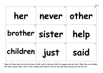| 12<br>her            | 12<br>never | Set 1<br>12<br>other |
|----------------------|-------------|----------------------|
| 12<br>brother sister | 12          | $12 \,$<br>help      |
| 12<br>children       | 12<br>iust  | 12<br>said           |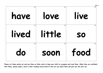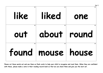| 14<br>like | 14<br>liked                 | Set 1<br>14<br>one |
|------------|-----------------------------|--------------------|
| 14<br>out  | 14<br>about                 | 14<br>round        |
| 14         | 14<br>found   mouse   house | 14                 |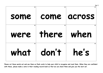| 15<br>some | 15    | Set 1<br>15<br>come across |
|------------|-------|----------------------------|
| 15         | 15    | 15                         |
| were       | there | when                       |
| 15         | 15    | 15                         |
| what       | don't | he's                       |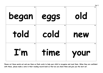| 16<br>began     | 16<br>eggs | Set 1<br>16<br>old |
|-----------------|------------|--------------------|
| 16              | 16         | 16                 |
| told            | cold       | new                |
| 16              | 16         | 16                 |
| $\mathbf{I}'$ m | time       | <b>rour</b>        |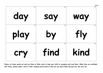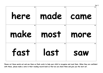| 18<br>here | 18<br>made | Set 1<br>18<br>came |
|------------|------------|---------------------|
| 18         | 18         | 18                  |
| make       | most       | more                |
| 18         | 18         | 18                  |
| fast       | last       | <b>SQW</b>          |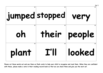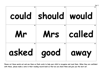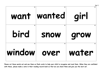| 21<br>want | 21<br>wanted | Set 1<br>21<br>girl |
|------------|--------------|---------------------|
| 21         | 21           | 21                  |
| bird       | <b>SNOW</b>  | grow                |
| 21         | 21           | 21                  |
| window     | over         | water               |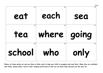| 22<br>eat | 22<br>each | Set 1<br>22<br>sea |
|-----------|------------|--------------------|
| 22        | 22         | 22                 |
| tea       | where      | going              |
| 22        | 22         | 22                 |
| school    | who        | only               |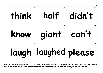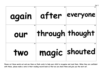| 24<br>again | 24<br>after     | Set 1<br>24<br>everyone |
|-------------|-----------------|-------------------------|
| 24<br>our   | through thought |                         |
| 24<br>TWO   | 24              | magic shouted           |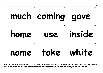| 25         | 25<br>much coming gave | Set 1<br>25  |
|------------|------------------------|--------------|
| 25<br>home | 25<br>use              | 25<br>inside |
| 25<br>name | 25<br>take             | white        |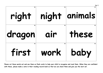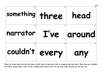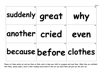| 28<br>suddenly great   | 28 | Set 1<br>why |
|------------------------|----|--------------|
| another cried          | 28 | even         |
| because before clothes |    |              |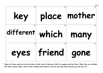| 29<br>key              |        | Set 1<br>place mother |
|------------------------|--------|-----------------------|
| different which   many |        |                       |
| eyes                   | friend | 29<br>gone            |